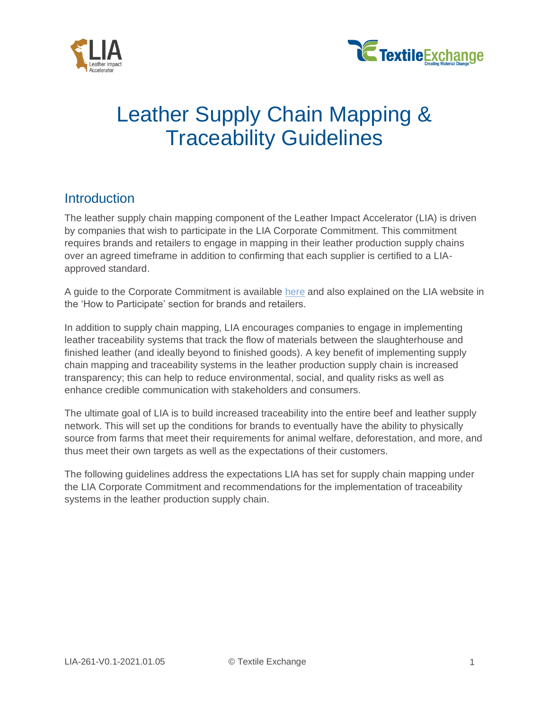



# Leather Supply Chain Mapping & Traceability Guidelines

### **Introduction**

The leather supply chain mapping component of the Leather Impact Accelerator (LIA) is driven by companies that wish to participate in the LIA Corporate Commitment. This commitment requires brands and retailers to engage in mapping in their leather production supply chains over an agreed timeframe in addition to confirming that each supplier is certified to a LIAapproved standard.

A guide to the Corporate Commitment is available [here](https://textileexchange.org/documents/lia-corporate-commitment-guide/) and also explained on the LIA website in the 'How to Participate' section for brands and retailers.

In addition to supply chain mapping, LIA encourages companies to engage in implementing leather traceability systems that track the flow of materials between the slaughterhouse and finished leather (and ideally beyond to finished goods). A key benefit of implementing supply chain mapping and traceability systems in the leather production supply chain is increased transparency; this can help to reduce environmental, social, and quality risks as well as enhance credible communication with stakeholders and consumers.

The ultimate goal of LIA is to build increased traceability into the entire beef and leather supply network. This will set up the conditions for brands to eventually have the ability to physically source from farms that meet their requirements for animal welfare, deforestation, and more, and thus meet their own targets as well as the expectations of their customers.

The following guidelines address the expectations LIA has set for supply chain mapping under the LIA Corporate Commitment and recommendations for the implementation of traceability systems in the leather production supply chain.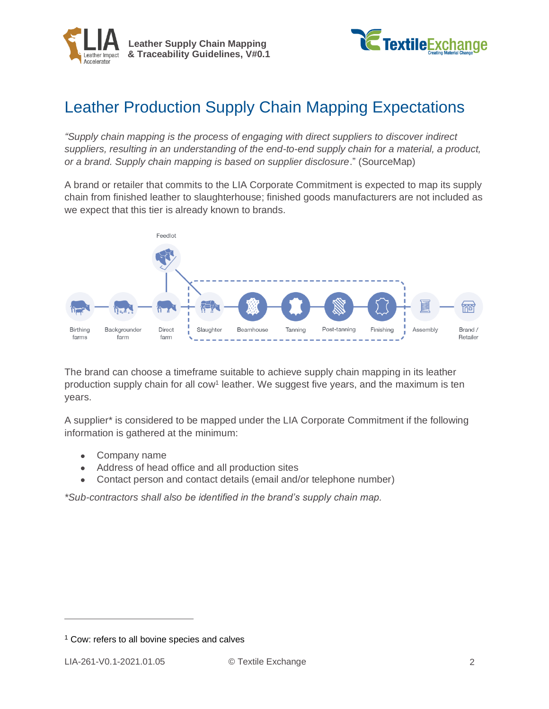



# Leather Production Supply Chain Mapping Expectations

*"Supply chain mapping is the process of engaging with direct suppliers to discover indirect suppliers, resulting in an understanding of the end-to-end supply chain for a material, a product, or a brand. Supply chain mapping is based on supplier disclosure*." (SourceMap)

A brand or retailer that commits to the LIA Corporate Commitment is expected to map its supply chain from finished leather to slaughterhouse; finished goods manufacturers are not included as we expect that this tier is already known to brands.



The brand can choose a timeframe suitable to achieve supply chain mapping in its leather production supply chain for all cow<sup>1</sup> leather. We suggest five years, and the maximum is ten years.

A supplier\* is considered to be mapped under the LIA Corporate Commitment if the following information is gathered at the minimum:

- Company name
- Address of head office and all production sites
- Contact person and contact details (email and/or telephone number)

*\*Sub-contractors shall also be identified in the brand's supply chain map.*

 $1$  Cow: refers to all bovine species and calves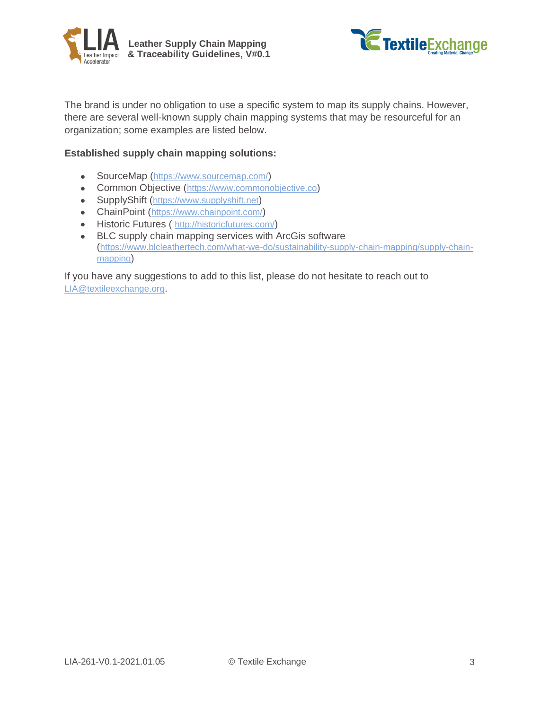



The brand is under no obligation to use a specific system to map its supply chains. However, there are several well-known supply chain mapping systems that may be resourceful for an organization; some examples are listed below.

#### **Established supply chain mapping solutions:**

- SourceMap (<https://www.sourcemap.com/>)  $\bullet$
- Common Objective ([https://www.commonobjective.co](https://www.commonobjective.co/article/why-and-how-to-map-your-supply-chain))
- SupplyShift ([https://www.supplyshift.net](https://www.supplyshift.net/))
- ChainPoint (<https://www.chainpoint.com/>)
- Historic Futures ( <http://historicfutures.com/>)
- **BLC supply chain mapping services with ArcGis software** ([https://www.blcleathertech.com/what-we-do/sustainability-supply-chain-mapping/supply-chain](https://www.blcleathertech.com/what-we-do/sustainability-supply-chain-mapping/supply-chain-mapping)[mapping](https://www.blcleathertech.com/what-we-do/sustainability-supply-chain-mapping/supply-chain-mapping))

If you have any suggestions to add to this list, please do not hesitate to reach out to [LIA@textileexchange.org](mailto:LIA@textileexchange.org).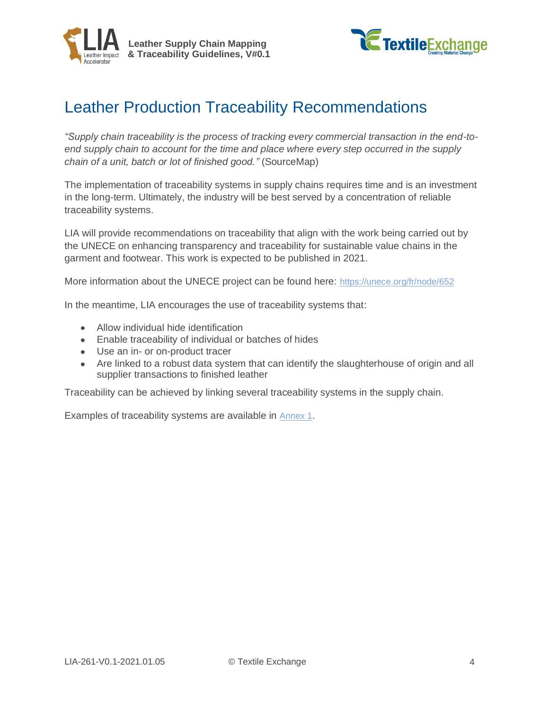



# Leather Production Traceability Recommendations

*"Supply chain traceability is the process of tracking every commercial transaction in the end-toend supply chain to account for the time and place where every step occurred in the supply chain of a unit, batch or lot of finished good."* (SourceMap)

The implementation of traceability systems in supply chains requires time and is an investment in the long-term. Ultimately, the industry will be best served by a concentration of reliable traceability systems.

LIA will provide recommendations on traceability that align with the work being carried out by the UNECE on enhancing transparency and traceability for sustainable value chains in the garment and footwear. This work is expected to be published in 2021.

More information about the UNECE project can be found here: <https://unece.org/fr/node/652>

In the meantime, LIA encourages the use of traceability systems that:

- Allow individual hide identification
- Enable traceability of individual or batches of hides
- Use an in- or on-product tracer
- Are linked to a robust data system that can identify the slaughterhouse of origin and all supplier transactions to finished leather

Traceability can be achieved by linking several traceability systems in the supply chain.

Examples of traceability systems are available in [Annex 1](#page-4-0).